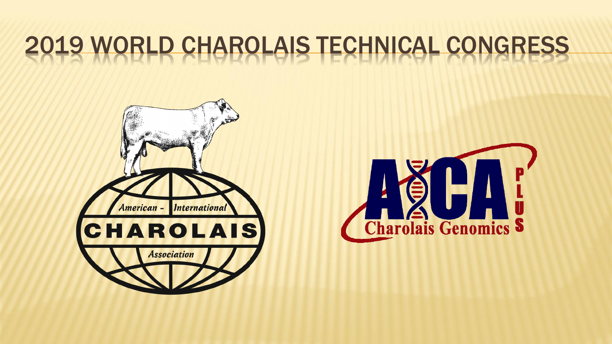# 2019 WORLD CHAROLAIS TECHNICAL CONGRESS



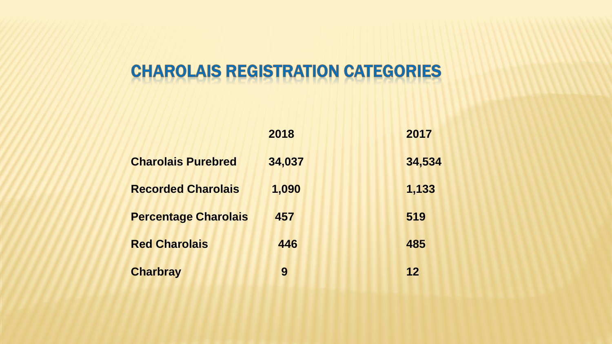## **CHAROLAIS REGISTRATION CATEGORIES**

|                             | 2018   | 2017   |
|-----------------------------|--------|--------|
| <b>Charolais Purebred</b>   | 34,037 | 34,534 |
| <b>Recorded Charolais</b>   | 1,090  | 1,133  |
| <b>Percentage Charolais</b> | 457    | 519    |
| <b>Red Charolais</b>        | 446    | 485    |
| <b>Charbray</b>             | 9      | 12     |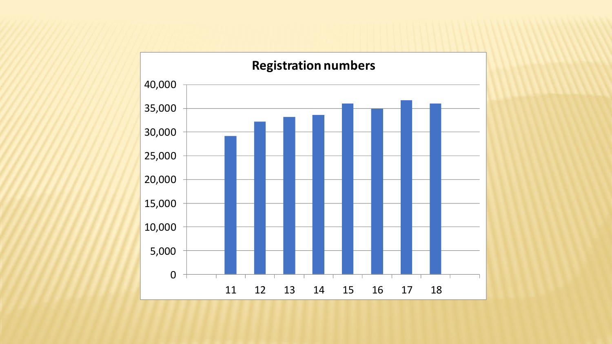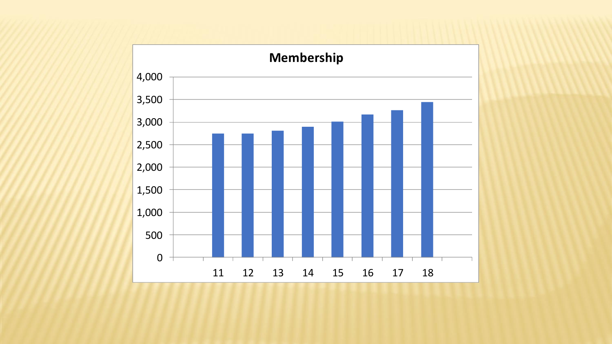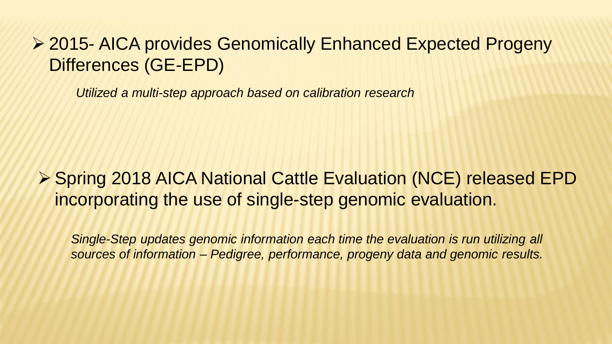## ➢ 2015- AICA provides Genomically Enhanced Expected Progeny Differences (GE-EPD)

*Utilized a multi-step approach based on calibration research*

### ➢ Spring 2018 AICA National Cattle Evaluation (NCE) released EPD incorporating the use of single-step genomic evaluation.

*Single-Step updates genomic information each time the evaluation is run utilizing all sources of information – Pedigree, performance, progeny data and genomic results.*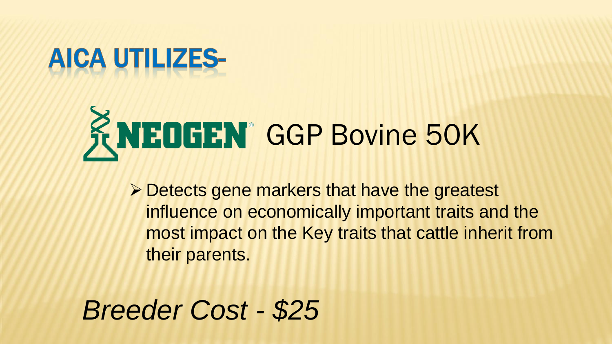## AICA UTILIZES-

# KNEDGEN<sup>®</sup> GGP Bovine 50K

➢ Detects gene markers that have the greatest influence on economically important traits and the most impact on the Key traits that cattle inherit from their parents.

*Breeder Cost - \$25*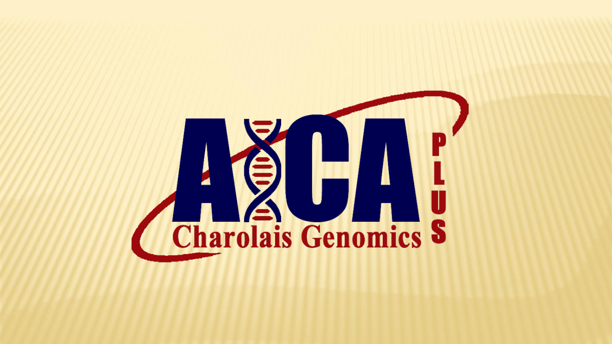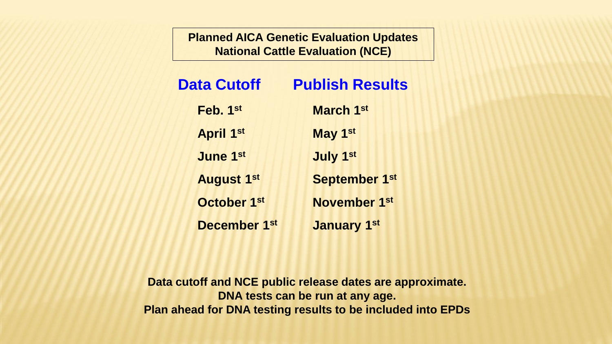**Planned AICA Genetic Evaluation Updates National Cattle Evaluation (NCE)**

| <b>Data Cutoff</b>  | <b>Publish Results</b> |
|---------------------|------------------------|
| Feb. 1st            | <b>March 1st</b>       |
| <b>April 1st</b>    | May 1st                |
| <b>June 1st</b>     | <b>July 1st</b>        |
| <b>August 1st</b>   | <b>September 1st</b>   |
| October 1st         | <b>November 1st</b>    |
| <b>December 1st</b> | <b>January 1st</b>     |

**Data cutoff and NCE public release dates are approximate. DNA tests can be run at any age. Plan ahead for DNA testing results to be included into EPDs**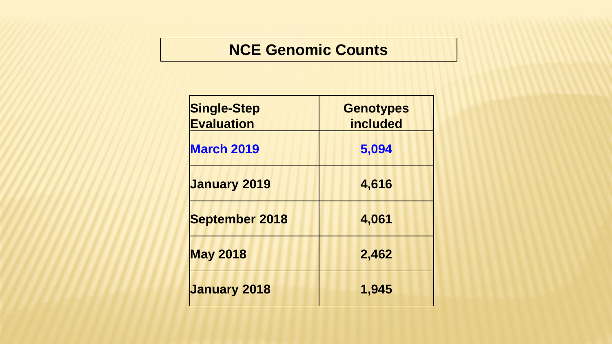#### **NCE Genomic Counts**

| <b>Single-Step</b><br><b>Evaluation</b> | <b>Genotypes</b><br><b>included</b> |
|-----------------------------------------|-------------------------------------|
| <b>March 2019</b>                       | 5,094                               |
| <b>January 2019</b>                     | 4,616                               |
| <b>September 2018</b>                   | 4,061                               |
| <b>May 2018</b>                         | 2,462                               |
| <b>January 2018</b>                     | 1,945                               |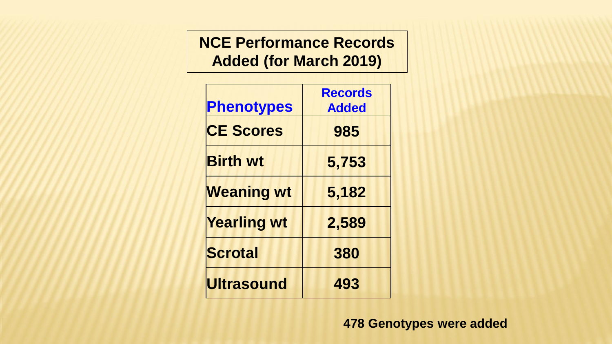**NCE Performance Records Added (for March 2019)**

| <b>Phenotypes</b>  | <b>Records</b><br><b>Added</b> |
|--------------------|--------------------------------|
| <b>CE Scores</b>   | 985                            |
| <b>Birth wt</b>    | 5,753                          |
| <b>Weaning wt</b>  | 5,182                          |
| <b>Yearling wt</b> | 2,589                          |
| <b>Scrotal</b>     | 380                            |
| <b>Ultrasound</b>  | 493                            |

**478 Genotypes were added**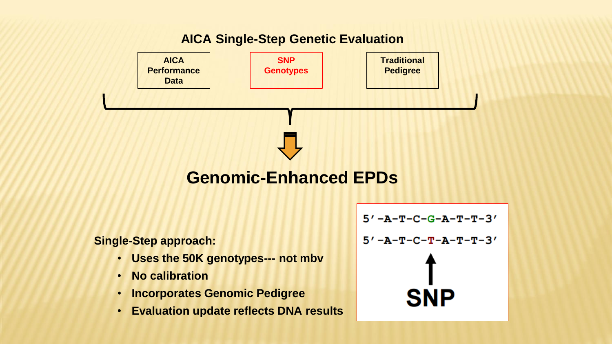#### **AICA Single-Step Genetic Evaluation**

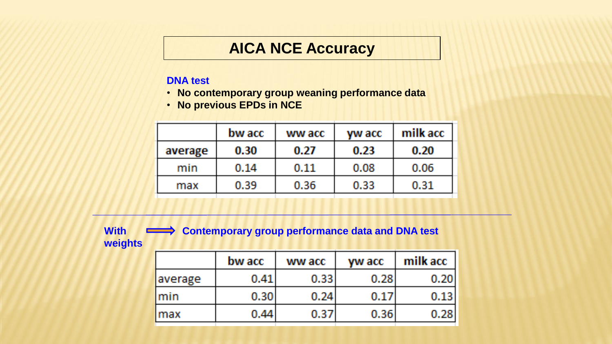#### **AICA NCE Accuracy**

#### **DNA test**

- **No contemporary group weaning performance data**
- **No previous EPDs in NCE**

|         | bw acc | ww acc | yw acc | milk acc |
|---------|--------|--------|--------|----------|
| average | 0.30   | 0.27   | 0.23   | 0.20     |
| min     | 0.14   | 0.11   | 0.08   | 0.06     |
| max     | 0.39   | 0.36   | 0.33   | 0.31     |
|         |        |        |        |          |

With Contemporary group performance data and DNA test **weights**

|         | bw acc | ww acc            | yw acc | milk acc |
|---------|--------|-------------------|--------|----------|
| average | 0.41   | 0.33 <sub>1</sub> | 0.281  | 0.20     |
| Imin    | 0.30   | 0.24              | 0.17   | 0.13     |
| lmax    | 0.44.  | 0.37              | 0.36   | 0.28     |
|         |        |                   |        |          |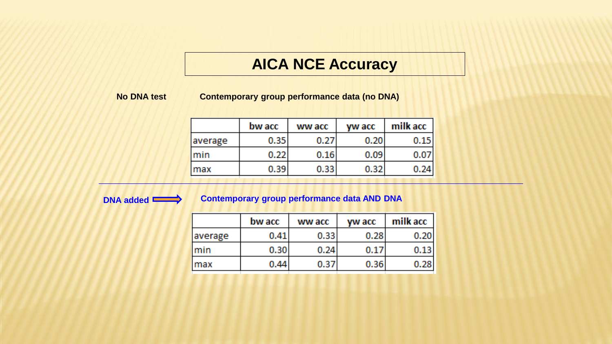#### **AICA NCE Accuracy**

#### **No DNA test**

**Contemporary group performance data (no DNA)**

|         | bw acc            | ww acc            | yw acc | milk acc |
|---------|-------------------|-------------------|--------|----------|
| average | 0.35 <sub>1</sub> | 0.27              | 0.20   | 0.15     |
| min     | 0.22              | 0.16              | 0.09   | 0.07     |
| max     | 0.39 <sup>°</sup> | 0.33 <sub>1</sub> | 0.32   | 0.24     |
|         |                   |                   |        |          |

#### **DNA added CONTEMPORATE:** Contemporary group performance data AND DNA

|         | bw acc | ww acc | <b>yw acc</b> | milk acc |
|---------|--------|--------|---------------|----------|
| average | 0.41   | 0.33   | 0.28          | 0.20     |
| Imin    | 0.30   | 0.24   | 0.17          | 0.13     |
| max     | 0.44   | 0.37   | 0.36          | 0.28     |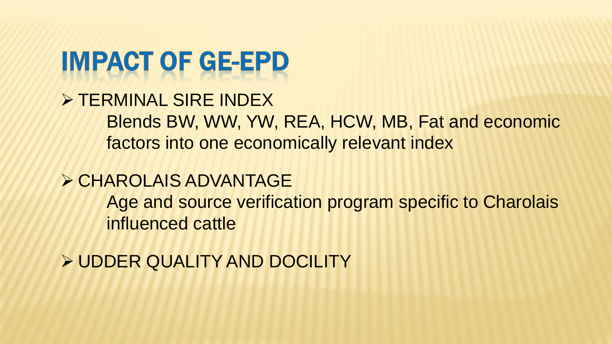## **IMPACT OF GE-EPD**

➢ TERMINAL SIRE INDEX Blends BW, WW, YW, REA, HCW, MB, Fat and economic factors into one economically relevant index

➢ CHAROLAIS ADVANTAGE Age and source verification program specific to Charolais influenced cattle

➢ UDDER QUALITY AND DOCILITY